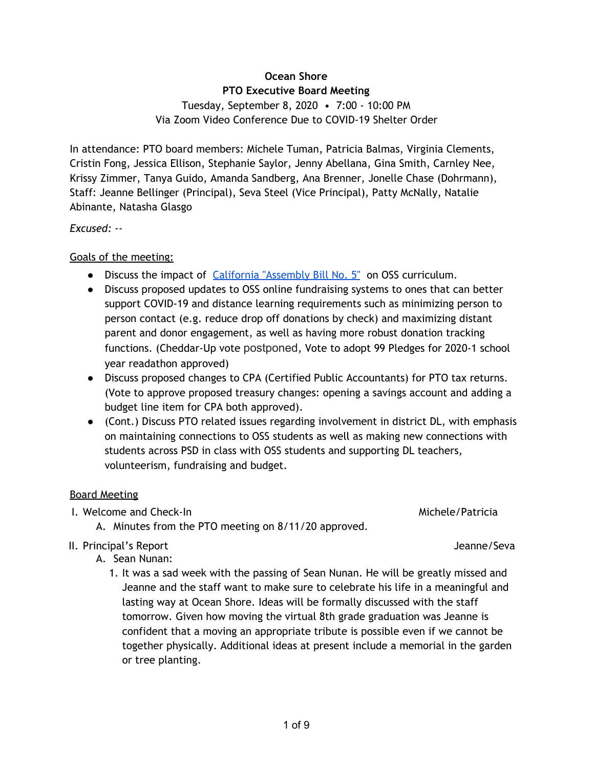# 1 of 9

# **Ocean Shore**

### **PTO Executive Board Meeting**

Tuesday, September 8, 2020 • 7:00 - 10:00 PM Via Zoom Video Conference Due to COVID-19 Shelter Order

In attendance: PTO board members: Michele Tuman, Patricia Balmas, Virginia Clements, Cristin Fong, Jessica Ellison, Stephanie Saylor, Jenny Abellana, Gina Smith, Carnley Nee, Krissy Zimmer, Tanya Guido, Amanda Sandberg, Ana Brenner, Jonelle Chase (Dohrmann), Staff: Jeanne Bellinger (Principal), Seva Steel (Vice Principal), Patty McNally, Natalie Abinante, Natasha Glasgo

*Excused: --*

Goals of the meeting:

- Discuss the impact of California ["Assembly](https://leginfo.legislature.ca.gov/faces/billCompareClient.xhtml?bill_id=201920200AB5&showamends=false) Bill No. 5" on OSS curriculum.
- Discuss proposed updates to OSS online fundraising systems to ones that can better support COVID-19 and distance learning requirements such as minimizing person to person contact (e.g. reduce drop off donations by check) and maximizing distant parent and donor engagement, as well as having more robust donation tracking functions. (Cheddar-Up vote postponed, Vote to adopt 99 Pledges for 2020-1 school year readathon approved)
- Discuss proposed changes to CPA (Certified Public Accountants) for PTO tax returns. (Vote to approve proposed treasury changes: opening a savings account and adding a budget line item for CPA both approved).
- (Cont.) Discuss PTO related issues regarding involvement in district DL, with emphasis on maintaining connections to OSS students as well as making new connections with students across PSD in class with OSS students and supporting DL teachers, volunteerism, fundraising and budget.

# Board Meeting

- I. Welcome and Check-In Michele/Patricia and Check-In Michele/Patricia
	- A. Minutes from the PTO meeting on 8/11/20 approved.
- II. Principal's Report Jeanne/Seva
	- A. Sean Nunan:
		- 1. It was a sad week with the passing of Sean Nunan. He will be greatly missed and Jeanne and the staff want to make sure to celebrate his life in a meaningful and lasting way at Ocean Shore. Ideas will be formally discussed with the staff tomorrow. Given how moving the virtual 8th grade graduation was Jeanne is confident that a moving an appropriate tribute is possible even if we cannot be together physically. Additional ideas at present include a memorial in the garden or tree planting.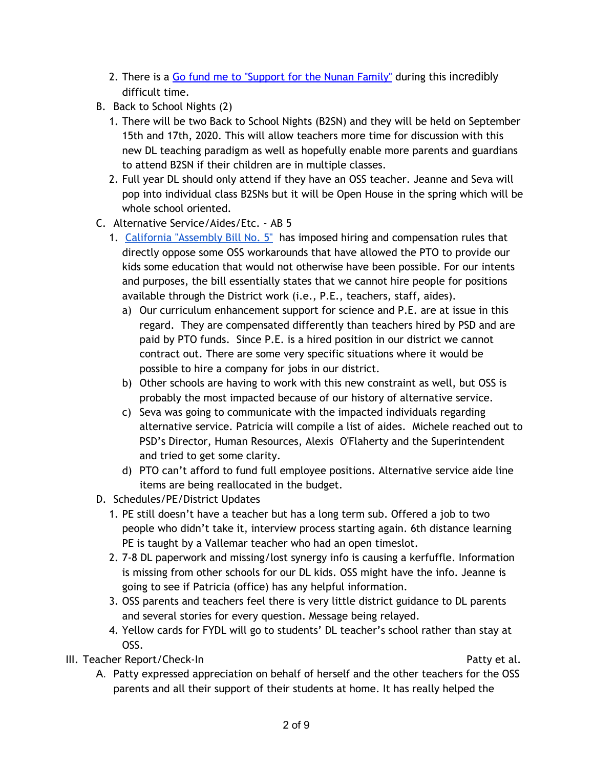- 2. There is a Go fund me to ["Support](https://gf.me/u/ywknsu) for the Nunan Family" during this incredibly difficult time.
- B. Back to School Nights (2)
	- 1. There will be two Back to School Nights (B2SN) and they will be held on September 15th and 17th, 2020. This will allow teachers more time for discussion with this new DL teaching paradigm as well as hopefully enable more parents and guardians to attend B2SN if their children are in multiple classes.
	- 2. Full year DL should only attend if they have an OSS teacher. Jeanne and Seva will pop into individual class B2SNs but it will be Open House in the spring which will be whole school oriented.
- C. Alternative Service/Aides/Etc. AB 5
	- 1. California ["Assembly](https://leginfo.legislature.ca.gov/faces/billCompareClient.xhtml?bill_id=201920200AB5&showamends=false) Bill No. 5" has imposed hiring and compensation rules that directly oppose some OSS workarounds that have allowed the PTO to provide our kids some education that would not otherwise have been possible. For our intents and purposes, the bill essentially states that we cannot hire people for positions available through the District work (i.e., P.E., teachers, staff, aides).
		- a) Our curriculum enhancement support for science and P.E. are at issue in this regard. They are compensated differently than teachers hired by PSD and are paid by PTO funds. Since P.E. is a hired position in our district we cannot contract out. There are some very specific situations where it would be possible to hire a company for jobs in our district.
		- b) Other schools are having to work with this new constraint as well, but OSS is probably the most impacted because of our history of alternative service.
		- c) Seva was going to communicate with the impacted individuals regarding alternative service. Patricia will compile a list of aides. Michele reached out to PSD's Director, Human Resources, Alexis [O'Flaherty](https://www.pacificasd.org/action/mail/sendMail.cfm?e=QU9GbGFoZXJ0eSBAcGFjaWZpY2FzZC5vcmc=) and the Superintendent and tried to get some clarity.
		- d) PTO can't afford to fund full employee positions. Alternative service aide line items are being reallocated in the budget.
- D. Schedules/PE/District Updates
	- 1. PE still doesn't have a teacher but has a long term sub. Offered a job to two people who didn't take it, interview process starting again. 6th distance learning PE is taught by a Vallemar teacher who had an open timeslot.
	- 2. 7-8 DL paperwork and missing/lost synergy info is causing a kerfuffle. Information is missing from other schools for our DL kids. OSS might have the info. Jeanne is going to see if Patricia (office) has any helpful information.
	- 3. OSS parents and teachers feel there is very little district guidance to DL parents and several stories for every question. Message being relayed.
	- 4. Yellow cards for FYDL will go to students' DL teacher's school rather than stay at OSS.

III. Teacher Report/Check-In Patty et al.

A. Patty expressed appreciation on behalf of herself and the other teachers for the OSS parents and all their support of their students at home. It has really helped the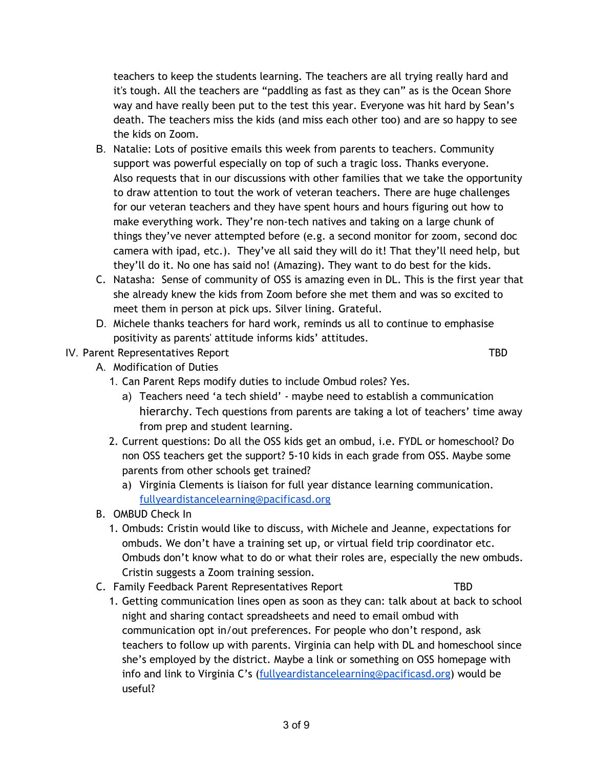teachers to keep the students learning. The teachers are all trying really hard and it's tough. All the teachers are "paddling as fast as they can" as is the Ocean Shore way and have really been put to the test this year. Everyone was hit hard by Sean's death. The teachers miss the kids (and miss each other too) and are so happy to see the kids on Zoom.

- B. Natalie: Lots of positive emails this week from parents to teachers. Community support was powerful especially on top of such a tragic loss. Thanks everyone. Also requests that in our discussions with other families that we take the opportunity to draw attention to tout the work of veteran teachers. There are huge challenges for our veteran teachers and they have spent hours and hours figuring out how to make everything work. They're non-tech natives and taking on a large chunk of things they've never attempted before (e.g. a second monitor for zoom, second doc camera with ipad, etc.). They've all said they will do it! That they'll need help, but they'll do it. No one has said no! (Amazing). They want to do best for the kids.
- C. Natasha: Sense of community of OSS is amazing even in DL. This is the first year that she already knew the kids from Zoom before she met them and was so excited to meet them in person at pick ups. Silver lining. Grateful.
- D. Michele thanks teachers for hard work, reminds us all to continue to emphasise positivity as parents' attitude informs kids' attitudes.

# IV. Parent Representatives Report TBD

- A. Modification of Duties
	- 1. Can Parent Reps modify duties to include Ombud roles? Yes.
		- a) Teachers need 'a tech shield' maybe need to establish a communication hierarchy. Tech questions from parents are taking a lot of teachers' time away from prep and student learning.
	- 2. Current questions: Do all the OSS kids get an ombud, i.e. FYDL or homeschool? Do non OSS teachers get the support? 5-10 kids in each grade from OSS. Maybe some parents from other schools get trained?
		- a) Virginia Clements is liaison for full year distance learning communication. [fullyeardistancelearning@pacificasd.org](mailto:fullyeardistancelearning@pacificasd.org)
- B. OMBUD Check In
	- 1. Ombuds: Cristin would like to discuss, with Michele and Jeanne, expectations for ombuds. We don't have a training set up, or virtual field trip coordinator etc. Ombuds don't know what to do or what their roles are, especially the new ombuds. Cristin suggests a Zoom training session.
- C. Family Feedback Parent Representatives Report TBD
	- 1. Getting communication lines open as soon as they can: talk about at back to school night and sharing contact spreadsheets and need to email ombud with communication opt in/out preferences. For people who don't respond, ask teachers to follow up with parents. Virginia can help with DL and homeschool since she's employed by the district. Maybe a link or something on OSS homepage with info and link to Virginia C's ([fullyeardistancelearning@pacificasd.org](mailto:fullyeardistancelearning@pacificasd.org)) would be useful?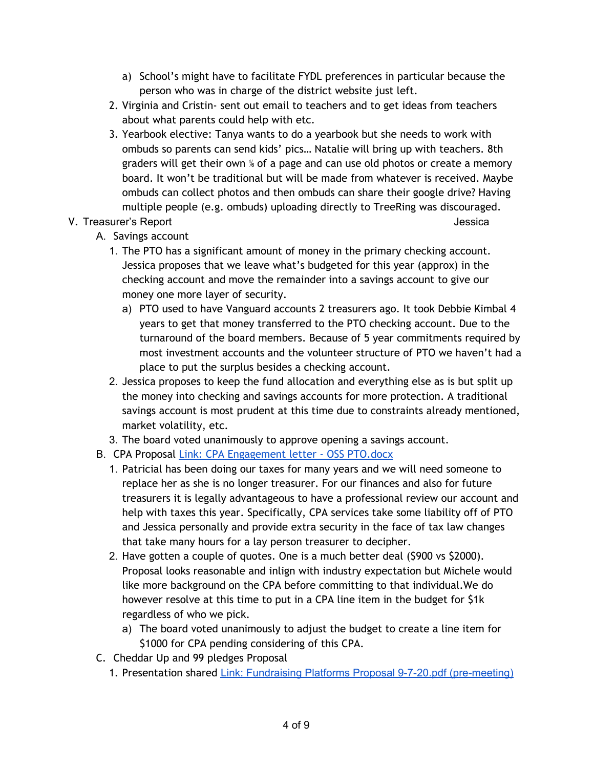- a) School's might have to facilitate FYDL preferences in particular because the person who was in charge of the district website just left.
- 2. Virginia and Cristin- sent out email to teachers and to get ideas from teachers about what parents could help with etc.
- 3. Yearbook elective: Tanya wants to do a yearbook but she needs to work with ombuds so parents can send kids' pics… Natalie will bring up with teachers. 8th graders will get their own <sup>%</sup> of a page and can use old photos or create a memory board. It won't be traditional but will be made from whatever is received. Maybe ombuds can collect photos and then ombuds can share their google drive? Having multiple people (e.g. ombuds) uploading directly to TreeRing was discouraged.

# V. Treasurer's Report **Vertex and September 2018** and the set of the set of the set of the set of the set of the set of the set of the set of the set of the set of the set of the set of the set of the set of the set of the

- A. Savings account
	- 1. The PTO has a significant amount of money in the primary checking account. Jessica proposes that we leave what's budgeted for this year (approx) in the checking account and move the remainder into a savings account to give our money one more layer of security.
		- a) PTO used to have Vanguard accounts 2 treasurers ago. It took Debbie Kimbal 4 years to get that money transferred to the PTO checking account. Due to the turnaround of the board members. Because of 5 year commitments required by most investment accounts and the volunteer structure of PTO we haven't had a place to put the surplus besides a checking account.
	- 2. Jessica proposes to keep the fund allocation and everything else as is but split up the money into checking and savings accounts for more protection. A traditional savings account is most prudent at this time due to constraints already mentioned, market volatility, etc.
	- 3. The board voted unanimously to approve opening a savings account.
- B. CPA Proposal Link: CPA [Engagement](https://drive.google.com/file/d/1rCEk7ipsQxrowC_hlu1zYEaHKp8KS3Ha/view?usp=sharing) letter OSS PTO.docx
	- 1. Patricial has been doing our taxes for many years and we will need someone to replace her as she is no longer treasurer. For our finances and also for future treasurers it is legally advantageous to have a professional review our account and help with taxes this year. Specifically, CPA services take some liability off of PTO and Jessica personally and provide extra security in the face of tax law changes that take many hours for a lay person treasurer to decipher.
	- 2. Have gotten a couple of quotes. One is a much better deal (\$900 vs \$2000). Proposal looks reasonable and inlign with industry expectation but Michele would like more background on the CPA before committing to that individual.We do however resolve at this time to put in a CPA line item in the budget for \$1k regardless of who we pick.
		- a) The board voted unanimously to adjust the budget to create a line item for \$1000 for CPA pending considering of this CPA.
- C. Cheddar Up and 99 pledges Proposal
	- 1. Presentation shared Link: Fundraising Platforms Proposal 9-7-20.pdf [\(pre-meeting\)](https://drive.google.com/file/d/1S3HUI0RkeN6j2v5pzKowrvpAgSQpiQyC/view?usp=sharing)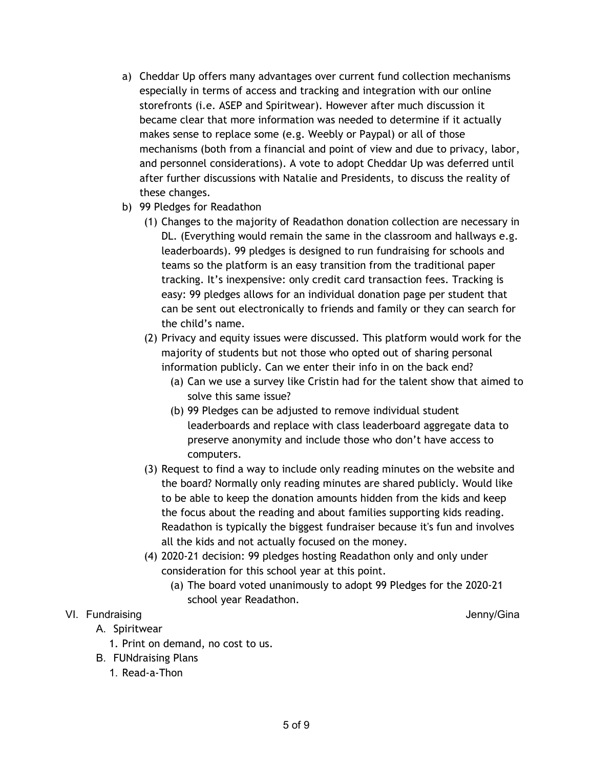- a) Cheddar Up offers many advantages over current fund collection mechanisms especially in terms of access and tracking and integration with our online storefronts (i.e. ASEP and Spiritwear). However after much discussion it became clear that more information was needed to determine if it actually makes sense to replace some (e.g. Weebly or Paypal) or all of those mechanisms (both from a financial and point of view and due to privacy, labor, and personnel considerations). A vote to adopt Cheddar Up was deferred until after further discussions with Natalie and Presidents, to discuss the reality of these changes.
- b) 99 Pledges for Readathon
	- (1) Changes to the majority of Readathon donation collection are necessary in DL. (Everything would remain the same in the classroom and hallways e.g. leaderboards). 99 pledges is designed to run fundraising for schools and teams so the platform is an easy transition from the traditional paper tracking. It's inexpensive: only credit card transaction fees. Tracking is easy: 99 pledges allows for an individual donation page per student that can be sent out electronically to friends and family or they can search for the child's name.
	- (2) Privacy and equity issues were discussed. This platform would work for the majority of students but not those who opted out of sharing personal information publicly. Can we enter their info in on the back end?
		- (a) Can we use a survey like Cristin had for the talent show that aimed to solve this same issue?
		- (b) 99 Pledges can be adjusted to remove individual student leaderboards and replace with class leaderboard aggregate data to preserve anonymity and include those who don't have access to computers.
	- (3) Request to find a way to include only reading minutes on the website and the board? Normally only reading minutes are shared publicly. Would like to be able to keep the donation amounts hidden from the kids and keep the focus about the reading and about families supporting kids reading. Readathon is typically the biggest fundraiser because it's fun and involves all the kids and not actually focused on the money.
	- (4) 2020-21 decision: 99 pledges hosting Readathon only and only under consideration for this school year at this point.
		- (a) The board voted unanimously to adopt 99 Pledges for the 2020-21 school year Readathon.

# VI. Fundraising **View Strategies and Strategies and Strategies and Strategies and Strategies and Strategies and Strategies and Strategies and Strategies and Strategies and Strategies and Strategies and Strategies and Strat**

- A. Spiritwear
	- 1. Print on demand, no cost to us.
- B. FUNdraising Plans
	- 1. Read-a-Thon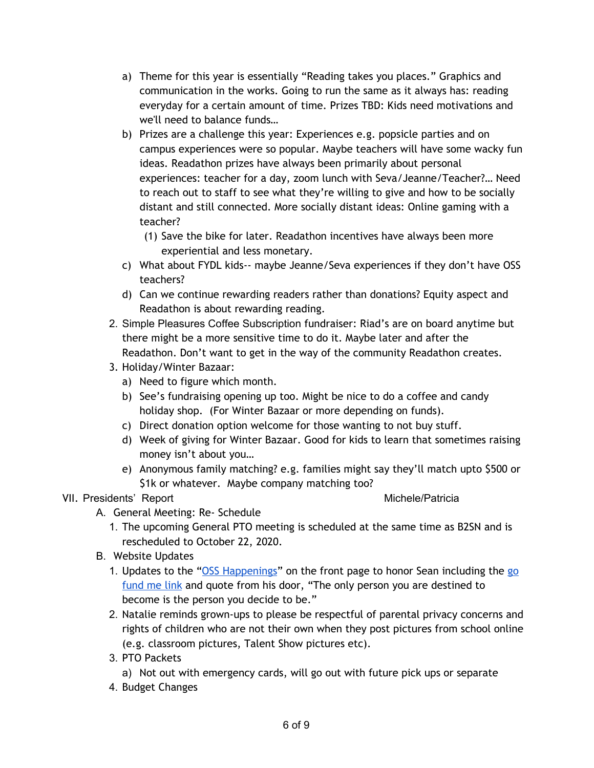- a) Theme for this year is essentially "Reading takes you places." Graphics and communication in the works. Going to run the same as it always has: reading everyday for a certain amount of time. Prizes TBD: Kids need motivations and we'll need to balance funds…
- b) Prizes are a challenge this year: Experiences e.g. popsicle parties and on campus experiences were so popular. Maybe teachers will have some wacky fun ideas. Readathon prizes have always been primarily about personal experiences: teacher for a day, zoom lunch with Seva/Jeanne/Teacher?… Need to reach out to staff to see what they're willing to give and how to be socially distant and still connected. More socially distant ideas: Online gaming with a teacher?
	- (1) Save the bike for later. Readathon incentives have always been more experiential and less monetary.
- c) What about FYDL kids-- maybe Jeanne/Seva experiences if they don't have OSS teachers?
- d) Can we continue rewarding readers rather than donations? Equity aspect and Readathon is about rewarding reading.
- 2. Simple Pleasures Coffee Subscription fundraiser: Riad's are on board anytime but there might be a more sensitive time to do it. Maybe later and after the Readathon. Don't want to get in the way of the community Readathon creates.
- 3. Holiday/Winter Bazaar:
	- a) Need to figure which month.
	- b) See's fundraising opening up too. Might be nice to do a coffee and candy holiday shop. (For Winter Bazaar or more depending on funds).
	- c) Direct donation option welcome for those wanting to not buy stuff.
	- d) Week of giving for Winter Bazaar. Good for kids to learn that sometimes raising money isn't about you…
	- e) Anonymous family matching? e.g. families might say they'll match upto \$500 or \$1k or whatever. Maybe company matching too?

# VII. Presidents' Report **Michele/Patricia** and Michele/Patricia

- A. General Meeting: Re- Schedule
	- 1. The upcoming General PTO meeting is scheduled at the same time as B2SN and is rescheduled to October 22, 2020.
- B. Website Updates
	- 1. Updates to the "OSS [Happenings"](https://www.osspto.org/) on the front page to honor Sean including the [go](https://gf.me/u/ywknsu) [fund](https://gf.me/u/ywknsu) me link and quote from his door, "The only person you are destined to become is the person you decide to be."
	- 2. Natalie reminds grown-ups to please be respectful of parental privacy concerns and rights of children who are not their own when they post pictures from school online (e.g. classroom pictures, Talent Show pictures etc).
	- 3. PTO Packets
		- a) Not out with emergency cards, will go out with future pick ups or separate
	- 4. Budget Changes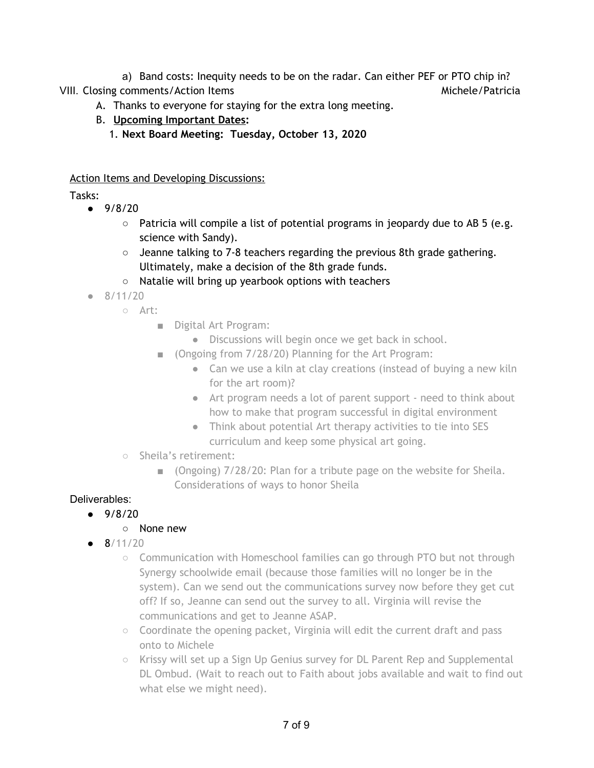a) Band costs: Inequity needs to be on the radar. Can either PEF or PTO chip in? VIII. Closing comments/Action Items Michele/Patricia Michele/Patricia

- A. Thanks to everyone for staying for the extra long meeting.
- B. **Upcoming Important Dates:**
	- 1. **Next Board Meeting: Tuesday, October 13, 2020**

### Action Items and Developing Discussions:

Tasks:

- $-9/8/20$ 
	- Patricia will compile a list of potential programs in jeopardy due to AB 5 (e.g. science with Sandy).
	- $\circ$  Jeanne talking to 7-8 teachers regarding the previous 8th grade gathering. Ultimately, make a decision of the 8th grade funds.
	- Natalie will bring up yearbook options with teachers
- $\bullet$  8/11/20
	- Art:
		- Digital Art Program:
			- Discussions will begin once we get back in school.
		- (Ongoing from 7/28/20) Planning for the Art Program:
			- Can we use a kiln at clay creations (instead of buying a new kiln for the art room)?
			- Art program needs a lot of parent support need to think about how to make that program successful in digital environment
			- Think about potential Art therapy activities to tie into SES curriculum and keep some physical art going.
	- Sheila's retirement:
		- (Ongoing) 7/28/20: Plan for a tribute page on the website for Sheila. Considerations of ways to honor Sheila

# Deliverables:

 $9/8/20$ 

# ○ None new

- $\bullet$  8/11/20
	- Communication with Homeschool families can go through PTO but not through Synergy schoolwide email (because those families will no longer be in the system). Can we send out the communications survey now before they get cut off? If so, Jeanne can send out the survey to all. Virginia will revise the communications and get to Jeanne ASAP.
	- Coordinate the opening packet, Virginia will edit the current draft and pass onto to Michele
	- Krissy will set up a Sign Up Genius survey for DL Parent Rep and Supplemental DL Ombud. (Wait to reach out to Faith about jobs available and wait to find out what else we might need).